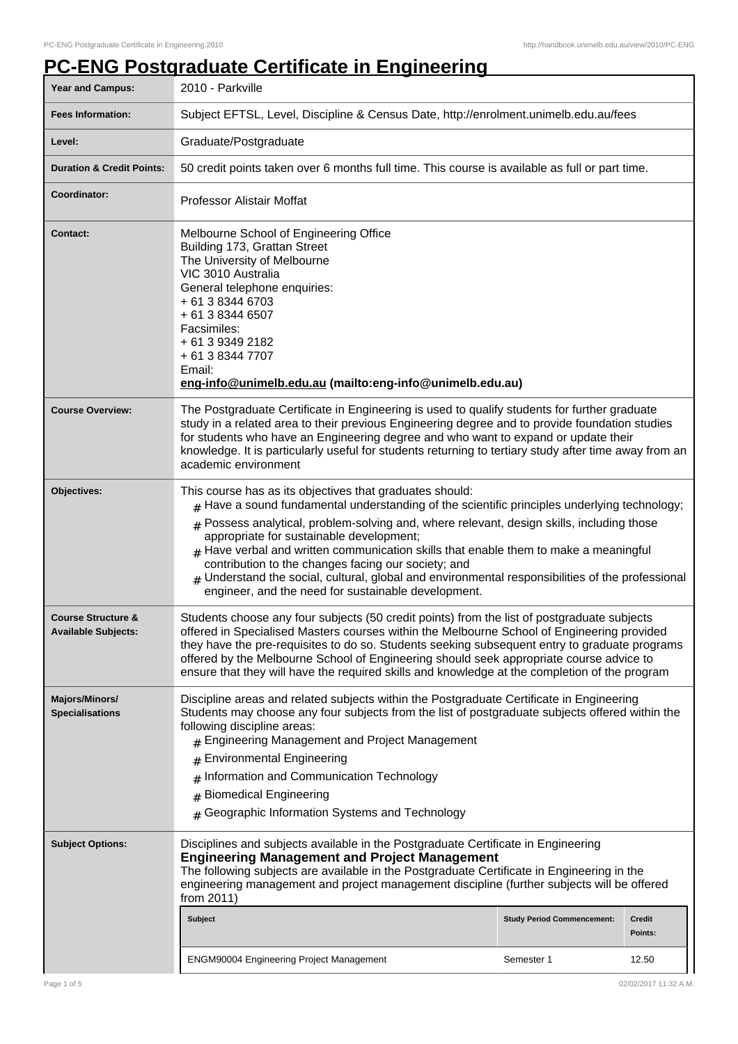## **PC-ENG Postgraduate Certificate in Engineering**

| <b>Year and Campus:</b>                                     | 2010 - Parkville                                                                                                                                                                                                                                                                                                                                                                                                                                                                                                                                                                                                        |                                   |                   |
|-------------------------------------------------------------|-------------------------------------------------------------------------------------------------------------------------------------------------------------------------------------------------------------------------------------------------------------------------------------------------------------------------------------------------------------------------------------------------------------------------------------------------------------------------------------------------------------------------------------------------------------------------------------------------------------------------|-----------------------------------|-------------------|
| <b>Fees Information:</b>                                    | Subject EFTSL, Level, Discipline & Census Date, http://enrolment.unimelb.edu.au/fees                                                                                                                                                                                                                                                                                                                                                                                                                                                                                                                                    |                                   |                   |
| Level:                                                      | Graduate/Postgraduate                                                                                                                                                                                                                                                                                                                                                                                                                                                                                                                                                                                                   |                                   |                   |
| <b>Duration &amp; Credit Points:</b>                        | 50 credit points taken over 6 months full time. This course is available as full or part time.                                                                                                                                                                                                                                                                                                                                                                                                                                                                                                                          |                                   |                   |
| Coordinator:                                                | <b>Professor Alistair Moffat</b>                                                                                                                                                                                                                                                                                                                                                                                                                                                                                                                                                                                        |                                   |                   |
| <b>Contact:</b>                                             | Melbourne School of Engineering Office<br>Building 173, Grattan Street<br>The University of Melbourne<br>VIC 3010 Australia<br>General telephone enquiries:<br>+ 61 3 8344 6703<br>+ 61 3 8344 6507<br>Facsimiles:<br>+ 61 3 9349 2182<br>+ 61 3 8344 7707<br>Email:<br>eng-info@unimelb.edu.au (mailto:eng-info@unimelb.edu.au)                                                                                                                                                                                                                                                                                        |                                   |                   |
| <b>Course Overview:</b>                                     | The Postgraduate Certificate in Engineering is used to qualify students for further graduate<br>study in a related area to their previous Engineering degree and to provide foundation studies<br>for students who have an Engineering degree and who want to expand or update their<br>knowledge. It is particularly useful for students returning to tertiary study after time away from an<br>academic environment                                                                                                                                                                                                   |                                   |                   |
| Objectives:                                                 | This course has as its objectives that graduates should:<br>$#$ Have a sound fundamental understanding of the scientific principles underlying technology;<br>$#$ Possess analytical, problem-solving and, where relevant, design skills, including those<br>appropriate for sustainable development;<br>$#$ Have verbal and written communication skills that enable them to make a meaningful<br>contribution to the changes facing our society; and<br>$_{\#}$ Understand the social, cultural, global and environmental responsibilities of the professional<br>engineer, and the need for sustainable development. |                                   |                   |
| <b>Course Structure &amp;</b><br><b>Available Subjects:</b> | Students choose any four subjects (50 credit points) from the list of postgraduate subjects<br>offered in Specialised Masters courses within the Melbourne School of Engineering provided<br>they have the pre-requisites to do so. Students seeking subsequent entry to graduate programs<br>offered by the Melbourne School of Engineering should seek appropriate course advice to<br>ensure that they will have the required skills and knowledge at the completion of the program                                                                                                                                  |                                   |                   |
| Majors/Minors/<br><b>Specialisations</b>                    | Discipline areas and related subjects within the Postgraduate Certificate in Engineering<br>Students may choose any four subjects from the list of postgraduate subjects offered within the<br>following discipline areas:<br># Engineering Management and Project Management<br><b>Environmental Engineering</b><br>#<br>Information and Communication Technology<br>#<br><b>Biomedical Engineering</b><br>#<br>Geographic Information Systems and Technology<br>#                                                                                                                                                     |                                   |                   |
| <b>Subject Options:</b>                                     | Disciplines and subjects available in the Postgraduate Certificate in Engineering<br><b>Engineering Management and Project Management</b><br>The following subjects are available in the Postgraduate Certificate in Engineering in the<br>engineering management and project management discipline (further subjects will be offered<br>from 2011)                                                                                                                                                                                                                                                                     |                                   |                   |
|                                                             | <b>Subject</b>                                                                                                                                                                                                                                                                                                                                                                                                                                                                                                                                                                                                          | <b>Study Period Commencement:</b> | Credit<br>Points: |
|                                                             | <b>ENGM90004 Engineering Project Management</b>                                                                                                                                                                                                                                                                                                                                                                                                                                                                                                                                                                         | Semester 1                        | 12.50             |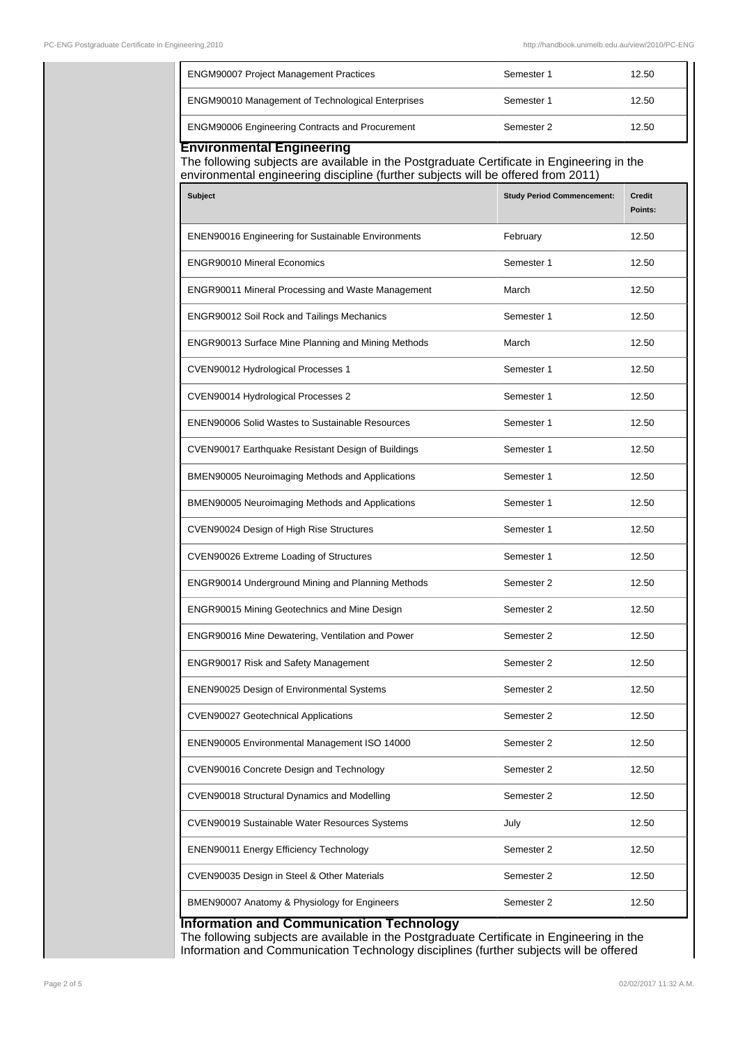| <b>ENGM90007 Project Management Practices</b>                                                                                  | Semester 1                        | 12.50                    |
|--------------------------------------------------------------------------------------------------------------------------------|-----------------------------------|--------------------------|
| ENGM90010 Management of Technological Enterprises                                                                              | Semester 1                        | 12.50                    |
| <b>ENGM90006 Engineering Contracts and Procurement</b>                                                                         | Semester 2                        | 12.50                    |
| <b>Environmental Engineering</b><br>The following subjects are available in the Postgraduate Certificate in Engineering in the |                                   |                          |
| environmental engineering discipline (further subjects will be offered from 2011)<br>Subject                                   | <b>Study Period Commencement:</b> | <b>Credit</b><br>Points: |
| <b>ENEN90016 Engineering for Sustainable Environments</b>                                                                      | February                          | 12.50                    |
| <b>ENGR90010 Mineral Economics</b>                                                                                             | Semester 1                        | 12.50                    |
| <b>ENGR90011 Mineral Processing and Waste Management</b>                                                                       | March                             | 12.50                    |
| ENGR90012 Soil Rock and Tailings Mechanics                                                                                     | Semester 1                        | 12.50                    |
| ENGR90013 Surface Mine Planning and Mining Methods                                                                             | March                             | 12.50                    |
| CVEN90012 Hydrological Processes 1                                                                                             | Semester 1                        | 12.50                    |
| CVEN90014 Hydrological Processes 2                                                                                             | Semester 1                        | 12.50                    |
| <b>ENEN90006 Solid Wastes to Sustainable Resources</b>                                                                         | Semester 1                        | 12.50                    |
| CVEN90017 Earthquake Resistant Design of Buildings                                                                             | Semester 1                        | 12.50                    |
| BMEN90005 Neuroimaging Methods and Applications                                                                                | Semester 1                        | 12.50                    |
| BMEN90005 Neuroimaging Methods and Applications                                                                                | Semester 1                        | 12.50                    |
| CVEN90024 Design of High Rise Structures                                                                                       | Semester 1                        | 12.50                    |
| CVEN90026 Extreme Loading of Structures                                                                                        | Semester 1                        | 12.50                    |
| ENGR90014 Underground Mining and Planning Methods                                                                              | Semester 2                        | 12.50                    |
| <b>ENGR90015 Mining Geotechnics and Mine Design</b>                                                                            | Semester 2                        | 12.50                    |
| ENGR90016 Mine Dewatering, Ventilation and Power                                                                               | Semester 2                        | 12.50                    |
| ENGR90017 Risk and Safety Management                                                                                           | Semester 2                        | 12.50                    |
| ENEN90025 Design of Environmental Systems                                                                                      | Semester 2                        | 12.50                    |
| <b>CVEN90027 Geotechnical Applications</b>                                                                                     | Semester 2                        | 12.50                    |
| ENEN90005 Environmental Management ISO 14000                                                                                   | Semester 2                        | 12.50                    |
| CVEN90016 Concrete Design and Technology                                                                                       | Semester 2                        | 12.50                    |
| CVEN90018 Structural Dynamics and Modelling                                                                                    | Semester 2                        | 12.50                    |
| CVEN90019 Sustainable Water Resources Systems                                                                                  | July                              | 12.50                    |
| ENEN90011 Energy Efficiency Technology                                                                                         | Semester 2                        | 12.50                    |
| CVEN90035 Design in Steel & Other Materials                                                                                    | Semester 2                        | 12.50                    |
| BMEN90007 Anatomy & Physiology for Engineers                                                                                   | Semester 2                        | 12.50                    |

The following subjects are available in the Postgraduate Certificate in Engineering in the Information and Communication Technology disciplines (further subjects will be offered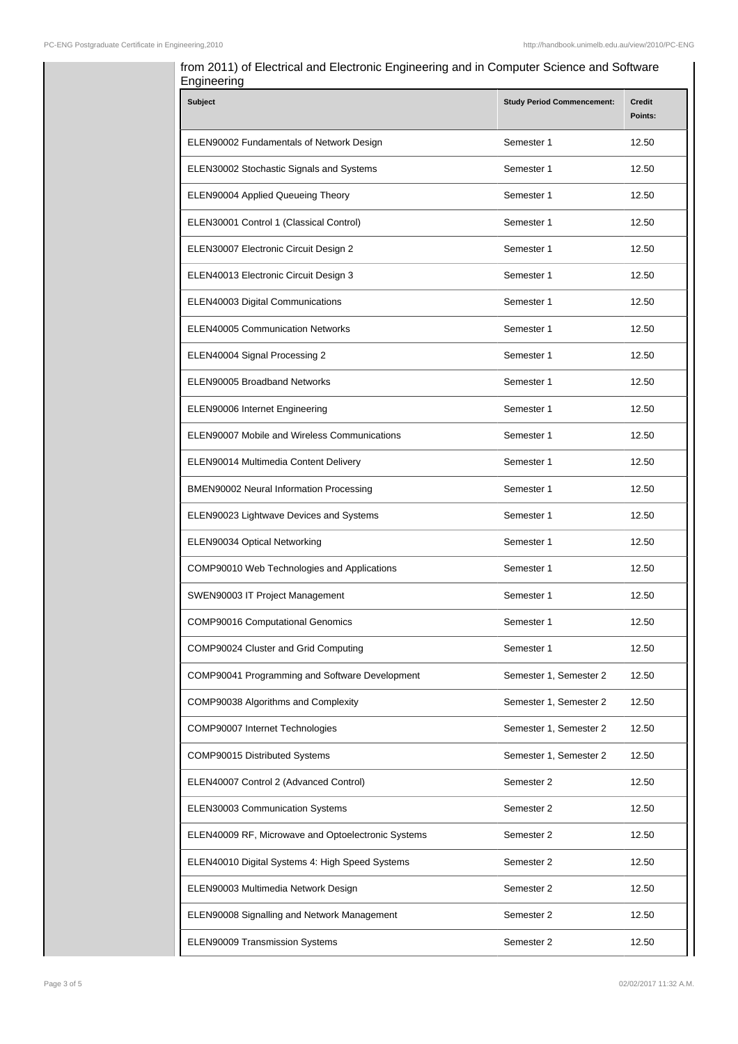| <b>Subject</b>                                     | <b>Study Period Commencement:</b> | <b>Credit</b><br>Points: |
|----------------------------------------------------|-----------------------------------|--------------------------|
| ELEN90002 Fundamentals of Network Design           | Semester 1                        | 12.50                    |
| ELEN30002 Stochastic Signals and Systems           | Semester 1                        | 12.50                    |
| ELEN90004 Applied Queueing Theory                  | Semester 1                        | 12.50                    |
| ELEN30001 Control 1 (Classical Control)            | Semester 1                        | 12.50                    |
| ELEN30007 Electronic Circuit Design 2              | Semester 1                        | 12.50                    |
| ELEN40013 Electronic Circuit Design 3              | Semester 1                        | 12.50                    |
| ELEN40003 Digital Communications                   | Semester 1                        | 12.50                    |
| <b>ELEN40005 Communication Networks</b>            | Semester 1                        | 12.50                    |
| ELEN40004 Signal Processing 2                      | Semester 1                        | 12.50                    |
| ELEN90005 Broadband Networks                       | Semester 1                        | 12.50                    |
| ELEN90006 Internet Engineering                     | Semester 1                        | 12.50                    |
| ELEN90007 Mobile and Wireless Communications       | Semester 1                        | 12.50                    |
| ELEN90014 Multimedia Content Delivery              | Semester 1                        | 12.50                    |
| BMEN90002 Neural Information Processing            | Semester 1                        | 12.50                    |
| ELEN90023 Lightwave Devices and Systems            | Semester 1                        | 12.50                    |
| ELEN90034 Optical Networking                       | Semester 1                        | 12.50                    |
| COMP90010 Web Technologies and Applications        | Semester 1                        | 12.50                    |
| SWEN90003 IT Project Management                    | Semester 1                        | 12.50                    |
| <b>COMP90016 Computational Genomics</b>            | Semester 1                        | 12.50                    |
| COMP90024 Cluster and Grid Computing               | Semester 1                        | 12.50                    |
| COMP90041 Programming and Software Development     | Semester 1, Semester 2            | 12.50                    |
| COMP90038 Algorithms and Complexity                | Semester 1, Semester 2            | 12.50                    |
| COMP90007 Internet Technologies                    | Semester 1, Semester 2            | 12.50                    |
| COMP90015 Distributed Systems                      | Semester 1, Semester 2            | 12.50                    |
| ELEN40007 Control 2 (Advanced Control)             | Semester 2                        | 12.50                    |
| ELEN30003 Communication Systems                    | Semester 2                        | 12.50                    |
| ELEN40009 RF, Microwave and Optoelectronic Systems | Semester 2                        | 12.50                    |
| ELEN40010 Digital Systems 4: High Speed Systems    | Semester 2                        | 12.50                    |
| ELEN90003 Multimedia Network Design                | Semester 2                        | 12.50                    |
| ELEN90008 Signalling and Network Management        | Semester 2                        | 12.50                    |
| ELEN90009 Transmission Systems                     | Semester 2                        | 12.50                    |

# from 2011) of Electrical and Electronic Engineering and in Computer Science and Software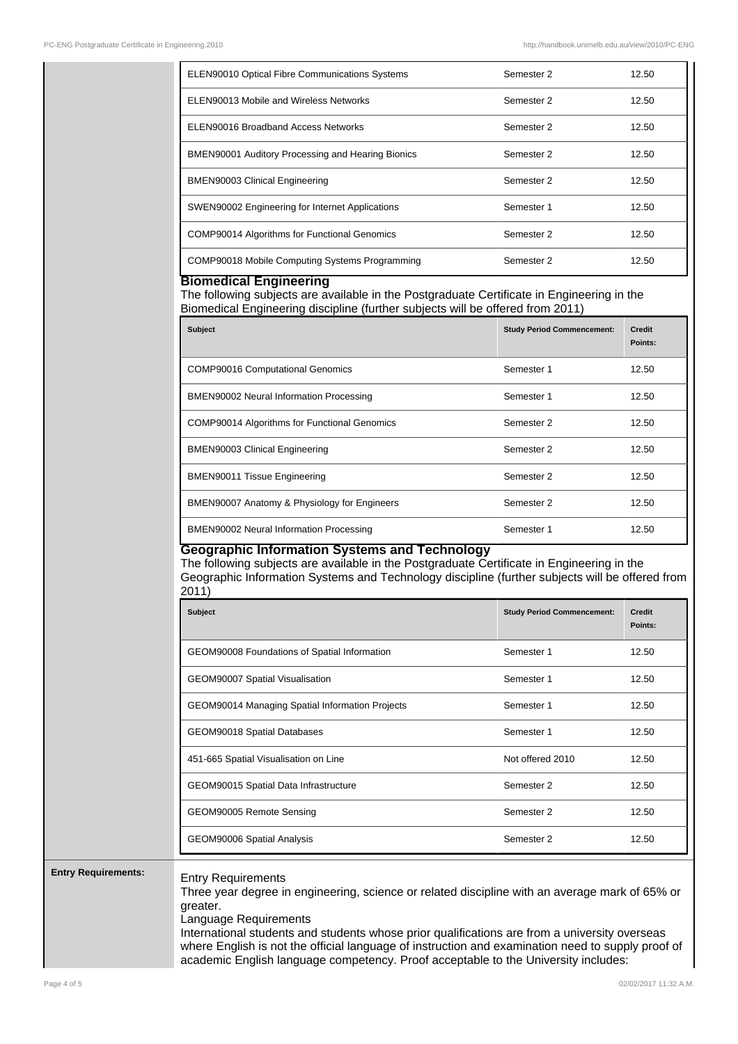| <b>ELEN90010 Optical Fibre Communications Systems</b>    | Semester 2 | 12.50 |
|----------------------------------------------------------|------------|-------|
| ELEN90013 Mobile and Wireless Networks                   | Semester 2 | 12.50 |
| ELEN90016 Broadband Access Networks                      | Semester 2 | 12.50 |
| <b>BMEN90001 Auditory Processing and Hearing Bionics</b> | Semester 2 | 12.50 |
| <b>BMEN90003 Clinical Engineering</b>                    | Semester 2 | 12.50 |
| SWEN90002 Engineering for Internet Applications          | Semester 1 | 12.50 |
| <b>COMP90014 Algorithms for Functional Genomics</b>      | Semester 2 | 12.50 |
| COMP90018 Mobile Computing Systems Programming           | Semester 2 | 12.50 |

#### **Biomedical Engineering**

The following subjects are available in the Postgraduate Certificate in Engineering in the Biomedical Engineering discipline (further subjects will be offered from 2011)

| <b>Subject</b>                                      | <b>Study Period Commencement:</b> | <b>Credit</b><br>Points: |
|-----------------------------------------------------|-----------------------------------|--------------------------|
| <b>COMP90016 Computational Genomics</b>             | Semester 1                        | 12.50                    |
| BMEN90002 Neural Information Processing             | Semester 1                        | 12.50                    |
| <b>COMP90014 Algorithms for Functional Genomics</b> | Semester 2                        | 12.50                    |
| <b>BMEN90003 Clinical Engineering</b>               | Semester 2                        | 12.50                    |
| <b>BMEN90011 Tissue Engineering</b>                 | Semester 2                        | 12.50                    |
| BMEN90007 Anatomy & Physiology for Engineers        | Semester 2                        | 12.50                    |
| BMEN90002 Neural Information Processing             | Semester 1                        | 12.50                    |

#### **Geographic Information Systems and Technology**

The following subjects are available in the Postgraduate Certificate in Engineering in the Geographic Information Systems and Technology discipline (further subjects will be offered from 2011)

| <b>Subject</b>                                  | <b>Study Period Commencement:</b> | <b>Credit</b><br>Points: |
|-------------------------------------------------|-----------------------------------|--------------------------|
| GEOM90008 Foundations of Spatial Information    | Semester 1                        | 12.50                    |
| GEOM90007 Spatial Visualisation                 | Semester 1                        | 12.50                    |
| GEOM90014 Managing Spatial Information Projects | Semester 1                        | 12.50                    |
| GEOM90018 Spatial Databases                     | Semester 1                        | 12.50                    |
| 451-665 Spatial Visualisation on Line           | Not offered 2010                  | 12.50                    |
| GEOM90015 Spatial Data Infrastructure           | Semester 2                        | 12.50                    |
| GEOM90005 Remote Sensing                        | Semester 2                        | 12.50                    |
| GEOM90006 Spatial Analysis                      | Semester 2                        | 12.50                    |

### **Entry Requirements:** Entry Requirements

Three year degree in engineering, science or related discipline with an average mark of 65% or greater.

Language Requirements

International students and students whose prior qualifications are from a university overseas where English is not the official language of instruction and examination need to supply proof of academic English language competency. Proof acceptable to the University includes: